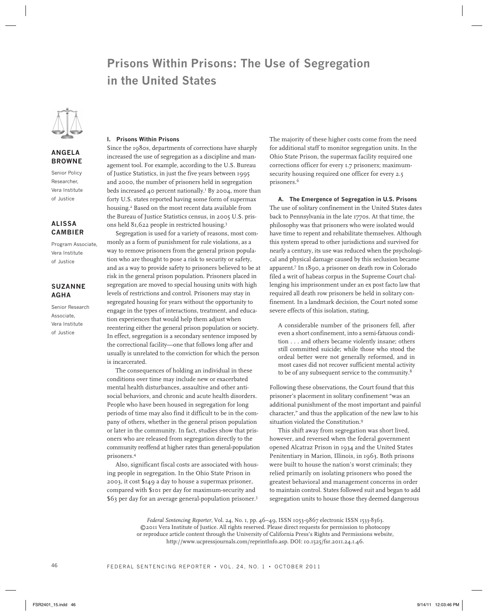# **Prisons Within Prisons: The Use of Segregation in the United States**



## **Angela Browne**

Senior Policy Researcher, Vera Institute of Justice

## **Alissa Cambier**

Program Associate, Vera Institute of Justice

## **Suzanne Agha**

Senior Research Associate, Vera Institute of Justice

## **I. Prisons Within Prisons**

Since the 1980s, departments of corrections have sharply increased the use of segregation as a discipline and management tool. For example, according to the U.S. Bureau of Justice Statistics, in just the five years between 1995 and 2000, the number of prisoners held in segregation beds increased 40 percent nationally.<sup>1</sup> By 2004, more than forty U.S. states reported having some form of supermax housing.2 Based on the most recent data available from the Bureau of Justice Statistics census, in 2005 U.S. prisons held 81,622 people in restricted housing.3

Segregation is used for a variety of reasons, most commonly as a form of punishment for rule violations, as a way to remove prisoners from the general prison population who are thought to pose a risk to security or safety, and as a way to provide safety to prisoners believed to be at risk in the general prison population. Prisoners placed in segregation are moved to special housing units with high levels of restrictions and control. Prisoners may stay in segregated housing for years without the opportunity to engage in the types of interactions, treatment, and education experiences that would help them adjust when reentering either the general prison population or society. In effect, segregation is a secondary sentence imposed by the correctional facility—one that follows long after and usually is unrelated to the conviction for which the person is incarcerated.

The consequences of holding an individual in these conditions over time may include new or exacerbated mental health disturbances, assaultive and other antisocial behaviors, and chronic and acute health disorders. People who have been housed in segregation for long periods of time may also find it difficult to be in the company of others, whether in the general prison population or later in the community. In fact, studies show that prisoners who are released from segregation directly to the community reoffend at higher rates than general-population prisoners.4

Also, significant fiscal costs are associated with housing people in segregation. In the Ohio State Prison in 2003, it cost \$149 a day to house a supermax prisoner, compared with \$101 per day for maximum-security and \$63 per day for an average general-population prisoner.5

The majority of these higher costs come from the need for additional staff to monitor segregation units. In the Ohio State Prison, the supermax facility required one corrections officer for every 1.7 prisoners; maximumsecurity housing required one officer for every 2.5 prisoners.6

**A. The Emergence of Segregation in U.S. Prisons** The use of solitary confinement in the United States dates back to Pennsylvania in the late 1770s. At that time, the philosophy was that prisoners who were isolated would have time to repent and rehabilitate themselves. Although this system spread to other jurisdictions and survived for nearly a century, its use was reduced when the psychological and physical damage caused by this seclusion became apparent.7 In 1890, a prisoner on death row in Colorado filed a writ of habeas corpus in the Supreme Court challenging his imprisonment under an ex post facto law that required all death row prisoners be held in solitary confinement. In a landmark decision, the Court noted some severe effects of this isolation, stating,

A considerable number of the prisoners fell, after even a short confinement, into a semi-fatuous condition . . . and others became violently insane; others still committed suicide; while those who stood the ordeal better were not generally reformed, and in most cases did not recover sufficient mental activity to be of any subsequent service to the community.8

Following these observations, the Court found that this prisoner's placement in solitary confinement "was an additional punishment of the most important and painful character," and thus the application of the new law to his situation violated the Constitution.9

This shift away from segregation was short lived, however, and reversed when the federal government opened Alcatraz Prison in 1934 and the United States Penitentiary in Marion, Illinois, in 1963. Both prisons were built to house the nation's worst criminals; they relied primarily on isolating prisoners who posed the greatest behavioral and management concerns in order to maintain control. States followed suit and began to add segregation units to house those they deemed dangerous

*Federal Sentencing Reporter,* Vol. 24, No. 1, pp. 46–49, ISSN 1053-9867 electronic ISSN 1533-8363. ©2011 Vera Institute of Justice. All rights reserved. Please direct requests for permission to photocopy or reproduce article content through the University of California Press's Rights and Permissions website, http://www.ucpressjournals.com/reprintInfo.asp. DOI: 10.1525/fsr.2011.24.1.46.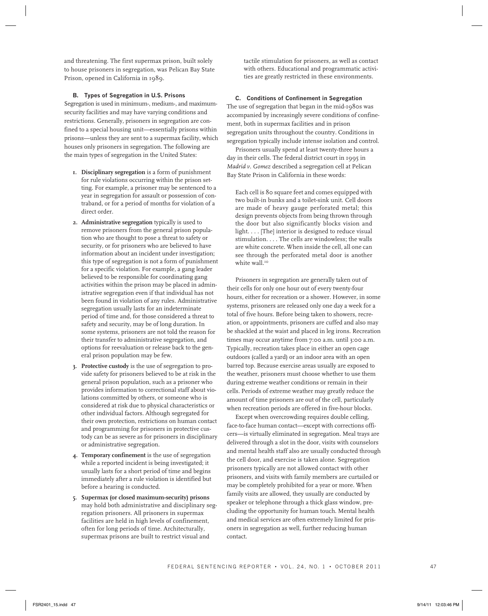and threatening. The first supermax prison, built solely to house prisoners in segregation, was Pelican Bay State Prison, opened in California in 1989.

## **B. Types of Segregation in U.S. Prisons**

Segregation is used in minimum-, medium-, and maximumsecurity facilities and may have varying conditions and restrictions. Generally, prisoners in segregation are confined to a special housing unit—essentially prisons within prisons—unless they are sent to a supermax facility, which houses only prisoners in segregation. The following are the main types of segregation in the United States:

- **1. Disciplinary segregation** is a form of punishment for rule violations occurring within the prison setting. For example, a prisoner may be sentenced to a year in segregation for assault or possession of contraband, or for a period of months for violation of a direct order.
- **2. Administrative segregation** typically is used to remove prisoners from the general prison population who are thought to pose a threat to safety or security, or for prisoners who are believed to have information about an incident under investigation; this type of segregation is not a form of punishment for a specific violation. For example, a gang leader believed to be responsible for coordinating gang activities within the prison may be placed in administrative segregation even if that individual has not been found in violation of any rules. Administrative segregation usually lasts for an indeterminate period of time and, for those considered a threat to safety and security, may be of long duration. In some systems, prisoners are not told the reason for their transfer to administrative segregation, and options for reevaluation or release back to the general prison population may be few.
- **3. Protective custody** is the use of segregation to provide safety for prisoners believed to be at risk in the general prison population, such as a prisoner who provides information to correctional staff about violations committed by others, or someone who is considered at risk due to physical characteristics or other individual factors. Although segregated for their own protection, restrictions on human contact and programming for prisoners in protective custody can be as severe as for prisoners in disciplinary or administrative segregation.
- **4. Temporary confinement** is the use of segregation while a reported incident is being investigated; it usually lasts for a short period of time and begins immediately after a rule violation is identified but before a hearing is conducted.
- **5. Supermax (or closed maximum-security) prisons**  may hold both administrative and disciplinary segregation prisoners. All prisoners in supermax facilities are held in high levels of confinement, often for long periods of time. Architecturally, supermax prisons are built to restrict visual and

tactile stimulation for prisoners, as well as contact with others. Educational and programmatic activities are greatly restricted in these environments.

#### **C. Conditions of Confinement in Segregation**

The use of segregation that began in the mid-1980s was accompanied by increasingly severe conditions of confinement, both in supermax facilities and in prison segregation units throughout the country. Conditions in segregation typically include intense isolation and control.

Prisoners usually spend at least twenty-three hours a day in their cells. The federal district court in 1995 in *Madrid v. Gomez* described a segregation cell at Pelican Bay State Prison in California in these words:

Each cell is 80 square feet and comes equipped with two built-in bunks and a toilet-sink unit. Cell doors are made of heavy gauge perforated metal; this design prevents objects from being thrown through the door but also significantly blocks vision and light. . . . [The] interior is designed to reduce visual stimulation. . . . The cells are windowless; the walls are white concrete. When inside the cell, all one can see through the perforated metal door is another white wall.<sup>10</sup>

Prisoners in segregation are generally taken out of their cells for only one hour out of every twenty-four hours, either for recreation or a shower. However, in some systems, prisoners are released only one day a week for a total of five hours. Before being taken to showers, recreation, or appointments, prisoners are cuffed and also may be shackled at the waist and placed in leg irons. Recreation times may occur anytime from 7:00 a.m. until 3:00 a.m. Typically, recreation takes place in either an open cage outdoors (called a yard) or an indoor area with an open barred top. Because exercise areas usually are exposed to the weather, prisoners must choose whether to use them during extreme weather conditions or remain in their cells. Periods of extreme weather may greatly reduce the amount of time prisoners are out of the cell, particularly when recreation periods are offered in five-hour blocks.

Except when overcrowding requires double celling, face-to-face human contact—except with corrections officers—is virtually eliminated in segregation. Meal trays are delivered through a slot in the door, visits with counselors and mental health staff also are usually conducted through the cell door, and exercise is taken alone. Segregation prisoners typically are not allowed contact with other prisoners, and visits with family members are curtailed or may be completely prohibited for a year or more. When family visits are allowed, they usually are conducted by speaker or telephone through a thick glass window, precluding the opportunity for human touch. Mental health and medical services are often extremely limited for prisoners in segregation as well, further reducing human contact.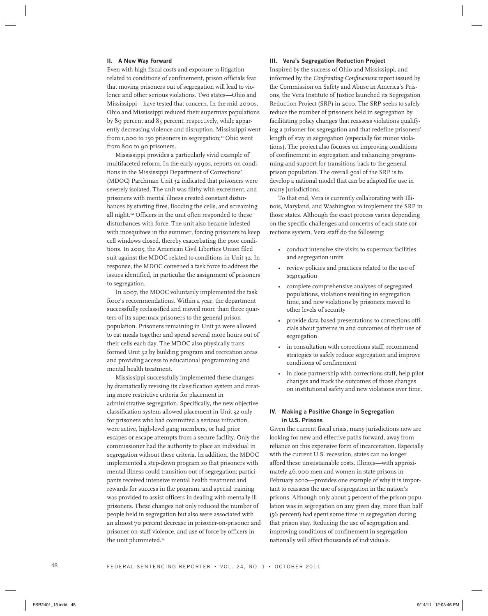#### **II. A New Way Forward**

Even with high fiscal costs and exposure to litigation related to conditions of confinement, prison officials fear that moving prisoners out of segregation will lead to violence and other serious violations. Two states—Ohio and Mississippi—have tested that concern. In the mid-2000s, Ohio and Mississippi reduced their supermax populations by 89 percent and 85 percent, respectively, while apparently decreasing violence and disruption. Mississippi went from 1,000 to 150 prisoners in segregation;<sup>11</sup> Ohio went from 800 to 90 prisoners.

Mississippi provides a particularly vivid example of multifaceted reform. In the early 1990s, reports on conditions in the Mississippi Department of Corrections' (MDOC) Parchman Unit 32 indicated that prisoners were severely isolated. The unit was filthy with excrement, and prisoners with mental illness created constant disturbances by starting fires, flooding the cells, and screaming all night.12 Officers in the unit often responded to these disturbances with force. The unit also became infested with mosquitoes in the summer, forcing prisoners to keep cell windows closed, thereby exacerbating the poor conditions. In 2005, the American Civil Liberties Union filed suit against the MDOC related to conditions in Unit 32. In response, the MDOC convened a task force to address the issues identified, in particular the assignment of prisoners to segregation.

In 2007, the MDOC voluntarily implemented the task force's recommendations. Within a year, the department successfully reclassified and moved more than three quarters of its supermax prisoners to the general prison population. Prisoners remaining in Unit 32 were allowed to eat meals together and spend several more hours out of their cells each day. The MDOC also physically transformed Unit 32 by building program and recreation areas and providing access to educational programming and mental health treatment.

Mississippi successfully implemented these changes by dramatically revising its classification system and creating more restrictive criteria for placement in administrative segregation. Specifically, the new objective classification system allowed placement in Unit 32 only for prisoners who had committed a serious infraction, were active, high-level gang members, or had prior escapes or escape attempts from a secure facility. Only the commissioner had the authority to place an individual in segregation without these criteria. In addition, the MDOC implemented a step-down program so that prisoners with mental illness could transition out of segregation; participants received intensive mental health treatment and rewards for success in the program, and special training was provided to assist officers in dealing with mentally ill prisoners. These changes not only reduced the number of people held in segregation but also were associated with an almost 70 percent decrease in prisoner-on-prisoner and prisoner-on-staff violence, and use of force by officers in the unit plummeted.<sup>13</sup>

#### **III. Vera's Segregation Reduction Project**

Inspired by the success of Ohio and Mississippi, and informed by the *Confronting Confinement* report issued by the Commission on Safety and Abuse in America's Prisons, the Vera Institute of Justice launched its Segregation Reduction Project (SRP) in 2010. The SRP seeks to safely reduce the number of prisoners held in segregation by facilitating policy changes that reassess violations qualifying a prisoner for segregation and that redefine prisoners' length of stay in segregation (especially for minor violations). The project also focuses on improving conditions of confinement in segregation and enhancing programming and support for transitions back to the general prison population. The overall goal of the SRP is to develop a national model that can be adapted for use in many jurisdictions.

To that end, Vera is currently collaborating with Illinois, Maryland, and Washington to implement the SRP in those states. Although the exact process varies depending on the specific challenges and concerns of each state corrections system, Vera staff do the following:

- conduct intensive site visits to supermax facilities and segregation units
- review policies and practices related to the use of segregation
- complete comprehensive analyses of segregated populations, violations resulting in segregation time, and new violations by prisoners moved to other levels of security
- provide data-based presentations to corrections officials about patterns in and outcomes of their use of segregation
- in consultation with corrections staff, recommend strategies to safely reduce segregation and improve conditions of confinement
- in close partnership with corrections staff, help pilot changes and track the outcomes of those changes on institutional safety and new violations over time.

### **IV. Making a Positive Change in Segregation in U.S. Prisons**

Given the current fiscal crisis, many jurisdictions now are looking for new and effective paths forward, away from reliance on this expensive form of incarceration. Especially with the current U.S. recession, states can no longer afford these unsustainable costs. Illinois—with approximately 46,000 men and women in state prisons in February 2010—provides one example of why it is important to reassess the use of segregation in the nation's prisons. Although only about 5 percent of the prison population was in segregation on any given day, more than half (56 percent) had spent some time in segregation during that prison stay. Reducing the use of segregation and improving conditions of confinement in segregation nationally will affect thousands of individuals.